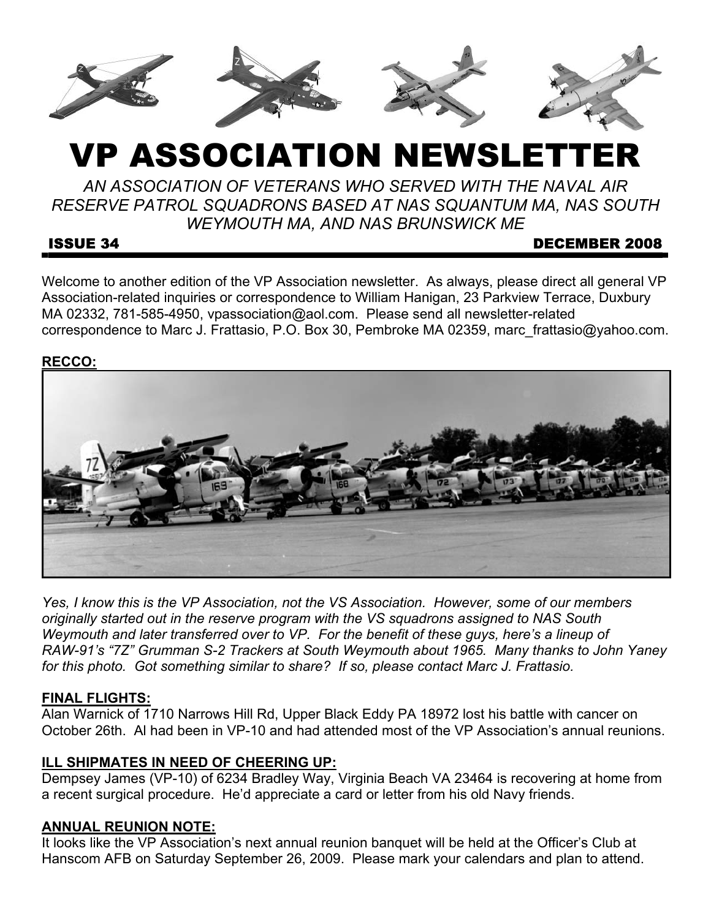

# VP ASSOCIATION NEWSLETTER

*AN ASSOCIATION OF VETERANS WHO SERVED WITH THE NAVAL AIR RESERVE PATROL SQUADRONS BASED AT NAS SQUANTUM MA, NAS SOUTH WEYMOUTH MA, AND NAS BRUNSWICK ME* 

#### ISSUE 34 DECEMBER 2008

Welcome to another edition of the VP Association newsletter. As always, please direct all general VP Association-related inquiries or correspondence to William Hanigan, 23 Parkview Terrace, Duxbury MA 02332, 781-585-4950, vpassociation@aol.com. Please send all newsletter-related correspondence to Marc J. Frattasio, P.O. Box 30, Pembroke MA 02359, marc\_frattasio@yahoo.com.

#### **RECCO:**



*Yes, I know this is the VP Association, not the VS Association. However, some of our members originally started out in the reserve program with the VS squadrons assigned to NAS South Weymouth and later transferred over to VP. For the benefit of these guys, here's a lineup of RAW-91's "7Z" Grumman S-2 Trackers at South Weymouth about 1965. Many thanks to John Yaney for this photo. Got something similar to share? If so, please contact Marc J. Frattasio.*

# **FINAL FLIGHTS:**

Alan Warnick of 1710 Narrows Hill Rd, Upper Black Eddy PA 18972 lost his battle with cancer on October 26th. Al had been in VP-10 and had attended most of the VP Association's annual reunions.

# **ILL SHIPMATES IN NEED OF CHEERING UP:**

Dempsey James (VP-10) of 6234 Bradley Way, Virginia Beach VA 23464 is recovering at home from a recent surgical procedure. He'd appreciate a card or letter from his old Navy friends.

# **ANNUAL REUNION NOTE:**

It looks like the VP Association's next annual reunion banquet will be held at the Officer's Club at Hanscom AFB on Saturday September 26, 2009. Please mark your calendars and plan to attend.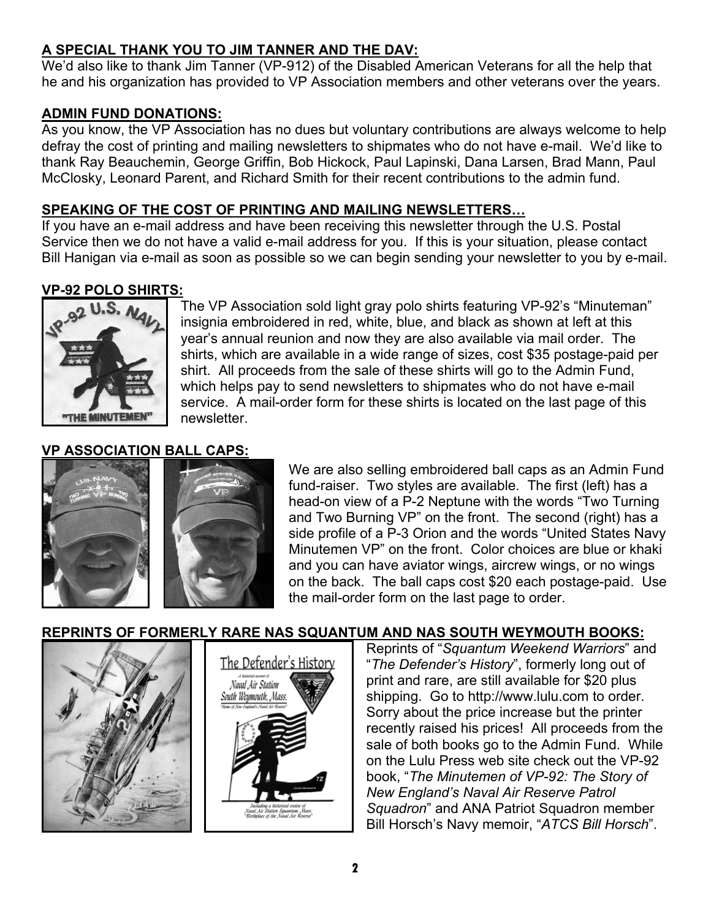# **A SPECIAL THANK YOU TO JIM TANNER AND THE DAV:**

We'd also like to thank Jim Tanner (VP-912) of the Disabled American Veterans for all the help that he and his organization has provided to VP Association members and other veterans over the years.

# **ADMIN FUND DONATIONS:**

As you know, the VP Association has no dues but voluntary contributions are always welcome to help defray the cost of printing and mailing newsletters to shipmates who do not have e-mail. We'd like to thank Ray Beauchemin, George Griffin, Bob Hickock, Paul Lapinski, Dana Larsen, Brad Mann, Paul McClosky, Leonard Parent, and Richard Smith for their recent contributions to the admin fund.

## **SPEAKING OF THE COST OF PRINTING AND MAILING NEWSLETTERS…**

If you have an e-mail address and have been receiving this newsletter through the U.S. Postal Service then we do not have a valid e-mail address for you. If this is your situation, please contact Bill Hanigan via e-mail as soon as possible so we can begin sending your newsletter to you by e-mail.

# **VP-92 POLO SHIRTS:**



The VP Association sold light gray polo shirts featuring VP-92's "Minuteman" insignia embroidered in red, white, blue, and black as shown at left at this year's annual reunion and now they are also available via mail order. The shirts, which are available in a wide range of sizes, cost \$35 postage-paid per shirt. All proceeds from the sale of these shirts will go to the Admin Fund, which helps pay to send newsletters to shipmates who do not have e-mail service. A mail-order form for these shirts is located on the last page of this newsletter.

# **VP ASSOCIATION BALL CAPS:**





We are also selling embroidered ball caps as an Admin Fund fund-raiser. Two styles are available. The first (left) has a head-on view of a P-2 Neptune with the words "Two Turning and Two Burning VP" on the front. The second (right) has a side profile of a P-3 Orion and the words "United States Navy Minutemen VP" on the front. Color choices are blue or khaki and you can have aviator wings, aircrew wings, or no wings on the back. The ball caps cost \$20 each postage-paid. Use the mail-order form on the last page to order.





Reprints of "*Squantum Weekend Warriors*" and "*The Defender's History*", formerly long out of print and rare, are still available for \$20 plus shipping. Go to http://www.lulu.com to order. Sorry about the price increase but the printer recently raised his prices! All proceeds from the sale of both books go to the Admin Fund. While on the Lulu Press web site check out the VP-92 book, "*The Minutemen of VP-92: The Story of New England's Naval Air Reserve Patrol Squadron*" and ANA Patriot Squadron member Bill Horsch's Navy memoir, "*ATCS Bill Horsch*".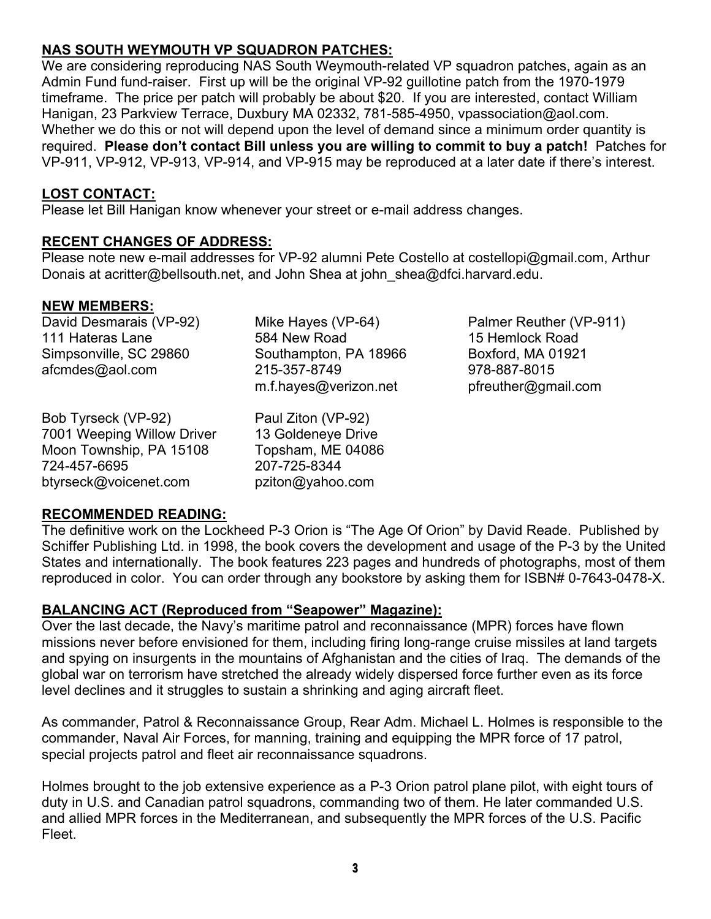# **3**

# **NAS SOUTH WEYMOUTH VP SQUADRON PATCHES:**

We are considering reproducing NAS South Weymouth-related VP squadron patches, again as an Admin Fund fund-raiser. First up will be the original VP-92 guillotine patch from the 1970-1979 timeframe. The price per patch will probably be about \$20. If you are interested, contact William Hanigan, 23 Parkview Terrace, Duxbury MA 02332, 781-585-4950, vpassociation@aol.com. Whether we do this or not will depend upon the level of demand since a minimum order quantity is required. **Please don't contact Bill unless you are willing to commit to buy a patch!** Patches for VP-911, VP-912, VP-913, VP-914, and VP-915 may be reproduced at a later date if there's interest.

#### **LOST CONTACT:**

Please let Bill Hanigan know whenever your street or e-mail address changes.

#### **RECENT CHANGES OF ADDRESS:**

Please note new e-mail addresses for VP-92 alumni Pete Costello at costellopi@gmail.com, Arthur Donais at acritter@bellsouth.net, and John Shea at john shea@dfci.harvard.edu.

#### **NEW MEMBERS:**

David Desmarais (VP-92) 111 Hateras Lane Simpsonville, SC 29860 afcmdes@aol.com

Bob Tyrseck (VP-92) 7001 Weeping Willow Driver Moon Township, PA 15108 724-457-6695 btyrseck@voicenet.com

Mike Hayes (VP-64) 584 New Road Southampton, PA 18966 215-357-8749 m.f.hayes@verizon.net

Paul Ziton (VP-92) 13 Goldeneye Drive Topsham, ME 04086 207-725-8344 pziton@yahoo.com

Palmer Reuther (VP-911) 15 Hemlock Road Boxford, MA 01921 978-887-8015 pfreuther@gmail.com

#### **RECOMMENDED READING:**

The definitive work on the Lockheed P-3 Orion is "The Age Of Orion" by David Reade. Published by Schiffer Publishing Ltd. in 1998, the book covers the development and usage of the P-3 by the United States and internationally. The book features 223 pages and hundreds of photographs, most of them reproduced in color. You can order through any bookstore by asking them for ISBN# 0-7643-0478-X.

#### **BALANCING ACT (Reproduced from "Seapower" Magazine):**

Over the last decade, the Navy's maritime patrol and reconnaissance (MPR) forces have flown missions never before envisioned for them, including firing long-range cruise missiles at land targets and spying on insurgents in the mountains of Afghanistan and the cities of Iraq. The demands of the global war on terrorism have stretched the already widely dispersed force further even as its force level declines and it struggles to sustain a shrinking and aging aircraft fleet.

As commander, Patrol & Reconnaissance Group, Rear Adm. Michael L. Holmes is responsible to the commander, Naval Air Forces, for manning, training and equipping the MPR force of 17 patrol, special projects patrol and fleet air reconnaissance squadrons.

Holmes brought to the job extensive experience as a P-3 Orion patrol plane pilot, with eight tours of duty in U.S. and Canadian patrol squadrons, commanding two of them. He later commanded U.S. and allied MPR forces in the Mediterranean, and subsequently the MPR forces of the U.S. Pacific Fleet.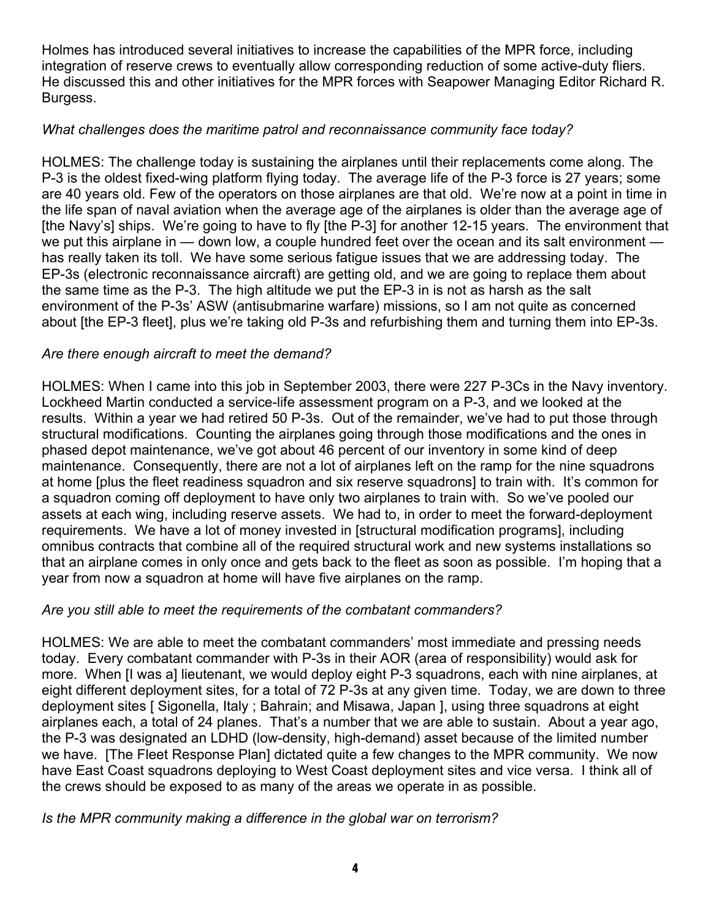Holmes has introduced several initiatives to increase the capabilities of the MPR force, including integration of reserve crews to eventually allow corresponding reduction of some active-duty fliers. He discussed this and other initiatives for the MPR forces with Seapower Managing Editor Richard R. Burgess.

# *What challenges does the maritime patrol and reconnaissance community face today?*

HOLMES: The challenge today is sustaining the airplanes until their replacements come along. The P-3 is the oldest fixed-wing platform flying today. The average life of the P-3 force is 27 years; some are 40 years old. Few of the operators on those airplanes are that old. We're now at a point in time in the life span of naval aviation when the average age of the airplanes is older than the average age of [the Navy's] ships. We're going to have to fly [the P-3] for another 12-15 years. The environment that we put this airplane in — down low, a couple hundred feet over the ocean and its salt environment has really taken its toll. We have some serious fatigue issues that we are addressing today. The EP-3s (electronic reconnaissance aircraft) are getting old, and we are going to replace them about the same time as the P-3. The high altitude we put the EP-3 in is not as harsh as the salt environment of the P-3s' ASW (antisubmarine warfare) missions, so I am not quite as concerned about [the EP-3 fleet], plus we're taking old P-3s and refurbishing them and turning them into EP-3s.

#### *Are there enough aircraft to meet the demand?*

HOLMES: When I came into this job in September 2003, there were 227 P-3Cs in the Navy inventory. Lockheed Martin conducted a service-life assessment program on a P-3, and we looked at the results. Within a year we had retired 50 P-3s. Out of the remainder, we've had to put those through structural modifications. Counting the airplanes going through those modifications and the ones in phased depot maintenance, we've got about 46 percent of our inventory in some kind of deep maintenance. Consequently, there are not a lot of airplanes left on the ramp for the nine squadrons at home [plus the fleet readiness squadron and six reserve squadrons] to train with. It's common for a squadron coming off deployment to have only two airplanes to train with. So we've pooled our assets at each wing, including reserve assets. We had to, in order to meet the forward-deployment requirements. We have a lot of money invested in [structural modification programs], including omnibus contracts that combine all of the required structural work and new systems installations so that an airplane comes in only once and gets back to the fleet as soon as possible. I'm hoping that a year from now a squadron at home will have five airplanes on the ramp.

#### *Are you still able to meet the requirements of the combatant commanders?*

HOLMES: We are able to meet the combatant commanders' most immediate and pressing needs today. Every combatant commander with P-3s in their AOR (area of responsibility) would ask for more. When [I was a] lieutenant, we would deploy eight P-3 squadrons, each with nine airplanes, at eight different deployment sites, for a total of 72 P-3s at any given time. Today, we are down to three deployment sites [ Sigonella, Italy ; Bahrain; and Misawa, Japan ], using three squadrons at eight airplanes each, a total of 24 planes. That's a number that we are able to sustain. About a year ago, the P-3 was designated an LDHD (low-density, high-demand) asset because of the limited number we have. [The Fleet Response Plan] dictated quite a few changes to the MPR community. We now have East Coast squadrons deploying to West Coast deployment sites and vice versa. I think all of the crews should be exposed to as many of the areas we operate in as possible.

#### *Is the MPR community making a difference in the global war on terrorism?*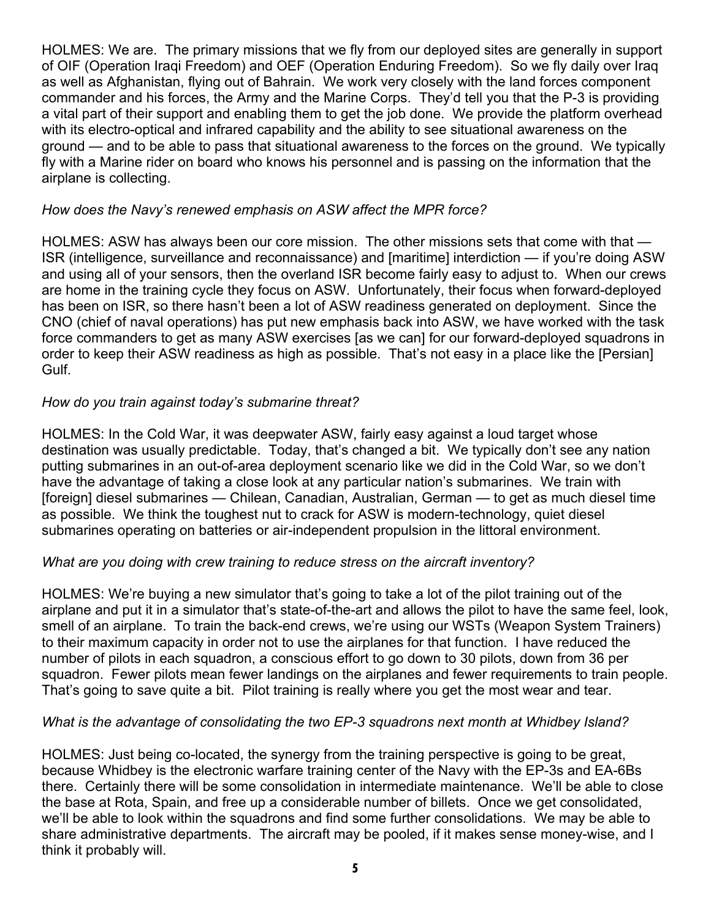HOLMES: We are. The primary missions that we fly from our deployed sites are generally in support of OIF (Operation Iraqi Freedom) and OEF (Operation Enduring Freedom). So we fly daily over Iraq as well as Afghanistan, flying out of Bahrain. We work very closely with the land forces component commander and his forces, the Army and the Marine Corps. They'd tell you that the P-3 is providing a vital part of their support and enabling them to get the job done. We provide the platform overhead with its electro-optical and infrared capability and the ability to see situational awareness on the ground — and to be able to pass that situational awareness to the forces on the ground. We typically fly with a Marine rider on board who knows his personnel and is passing on the information that the airplane is collecting.

#### *How does the Navy's renewed emphasis on ASW affect the MPR force?*

HOLMES: ASW has always been our core mission. The other missions sets that come with that — ISR (intelligence, surveillance and reconnaissance) and [maritime] interdiction — if you're doing ASW and using all of your sensors, then the overland ISR become fairly easy to adjust to. When our crews are home in the training cycle they focus on ASW. Unfortunately, their focus when forward-deployed has been on ISR, so there hasn't been a lot of ASW readiness generated on deployment. Since the CNO (chief of naval operations) has put new emphasis back into ASW, we have worked with the task force commanders to get as many ASW exercises [as we can] for our forward-deployed squadrons in order to keep their ASW readiness as high as possible. That's not easy in a place like the [Persian] Gulf.

#### *How do you train against today's submarine threat?*

HOLMES: In the Cold War, it was deepwater ASW, fairly easy against a loud target whose destination was usually predictable. Today, that's changed a bit. We typically don't see any nation putting submarines in an out-of-area deployment scenario like we did in the Cold War, so we don't have the advantage of taking a close look at any particular nation's submarines. We train with [foreign] diesel submarines — Chilean, Canadian, Australian, German — to get as much diesel time as possible. We think the toughest nut to crack for ASW is modern-technology, quiet diesel submarines operating on batteries or air-independent propulsion in the littoral environment.

#### *What are you doing with crew training to reduce stress on the aircraft inventory?*

HOLMES: We're buying a new simulator that's going to take a lot of the pilot training out of the airplane and put it in a simulator that's state-of-the-art and allows the pilot to have the same feel, look, smell of an airplane. To train the back-end crews, we're using our WSTs (Weapon System Trainers) to their maximum capacity in order not to use the airplanes for that function. I have reduced the number of pilots in each squadron, a conscious effort to go down to 30 pilots, down from 36 per squadron. Fewer pilots mean fewer landings on the airplanes and fewer requirements to train people. That's going to save quite a bit. Pilot training is really where you get the most wear and tear.

# *What is the advantage of consolidating the two EP-3 squadrons next month at Whidbey Island?*

HOLMES: Just being co-located, the synergy from the training perspective is going to be great, because Whidbey is the electronic warfare training center of the Navy with the EP-3s and EA-6Bs there. Certainly there will be some consolidation in intermediate maintenance. We'll be able to close the base at Rota, Spain, and free up a considerable number of billets. Once we get consolidated, we'll be able to look within the squadrons and find some further consolidations. We may be able to share administrative departments. The aircraft may be pooled, if it makes sense money-wise, and I think it probably will.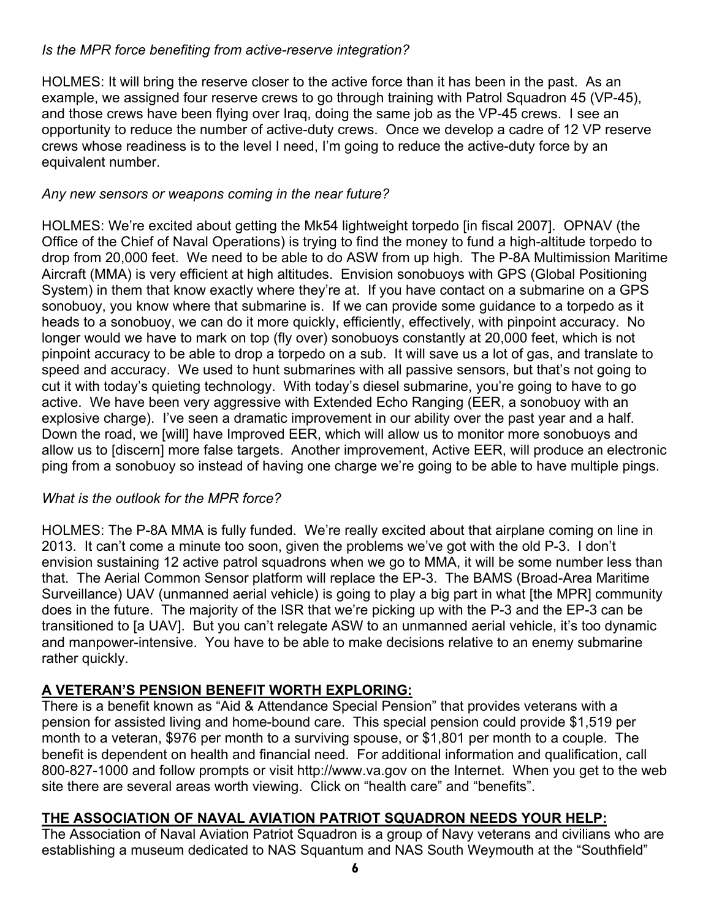# *Is the MPR force benefiting from active-reserve integration?*

HOLMES: It will bring the reserve closer to the active force than it has been in the past. As an example, we assigned four reserve crews to go through training with Patrol Squadron 45 (VP-45), and those crews have been flying over Iraq, doing the same job as the VP-45 crews. I see an opportunity to reduce the number of active-duty crews. Once we develop a cadre of 12 VP reserve crews whose readiness is to the level I need, I'm going to reduce the active-duty force by an equivalent number.

# *Any new sensors or weapons coming in the near future?*

HOLMES: We're excited about getting the Mk54 lightweight torpedo [in fiscal 2007]. OPNAV (the Office of the Chief of Naval Operations) is trying to find the money to fund a high-altitude torpedo to drop from 20,000 feet. We need to be able to do ASW from up high. The P-8A Multimission Maritime Aircraft (MMA) is very efficient at high altitudes. Envision sonobuoys with GPS (Global Positioning System) in them that know exactly where they're at. If you have contact on a submarine on a GPS sonobuoy, you know where that submarine is. If we can provide some guidance to a torpedo as it heads to a sonobuoy, we can do it more quickly, efficiently, effectively, with pinpoint accuracy. No longer would we have to mark on top (fly over) sonobuoys constantly at 20,000 feet, which is not pinpoint accuracy to be able to drop a torpedo on a sub. It will save us a lot of gas, and translate to speed and accuracy. We used to hunt submarines with all passive sensors, but that's not going to cut it with today's quieting technology. With today's diesel submarine, you're going to have to go active. We have been very aggressive with Extended Echo Ranging (EER, a sonobuoy with an explosive charge). I've seen a dramatic improvement in our ability over the past year and a half. Down the road, we [will] have Improved EER, which will allow us to monitor more sonobuoys and allow us to [discern] more false targets. Another improvement, Active EER, will produce an electronic ping from a sonobuoy so instead of having one charge we're going to be able to have multiple pings.

# *What is the outlook for the MPR force?*

HOLMES: The P-8A MMA is fully funded. We're really excited about that airplane coming on line in 2013. It can't come a minute too soon, given the problems we've got with the old P-3. I don't envision sustaining 12 active patrol squadrons when we go to MMA, it will be some number less than that. The Aerial Common Sensor platform will replace the EP-3. The BAMS (Broad-Area Maritime Surveillance) UAV (unmanned aerial vehicle) is going to play a big part in what [the MPR] community does in the future. The majority of the ISR that we're picking up with the P-3 and the EP-3 can be transitioned to [a UAV]. But you can't relegate ASW to an unmanned aerial vehicle, it's too dynamic and manpower-intensive. You have to be able to make decisions relative to an enemy submarine rather quickly.

# **A VETERAN'S PENSION BENEFIT WORTH EXPLORING:**

There is a benefit known as "Aid & Attendance Special Pension" that provides veterans with a pension for assisted living and home-bound care. This special pension could provide \$1,519 per month to a veteran, \$976 per month to a surviving spouse, or \$1,801 per month to a couple. The benefit is dependent on health and financial need. For additional information and qualification, call 800-827-1000 and follow prompts or visit http://www.va.gov on the Internet. When you get to the web site there are several areas worth viewing. Click on "health care" and "benefits".

# **THE ASSOCIATION OF NAVAL AVIATION PATRIOT SQUADRON NEEDS YOUR HELP:**

The Association of Naval Aviation Patriot Squadron is a group of Navy veterans and civilians who are establishing a museum dedicated to NAS Squantum and NAS South Weymouth at the "Southfield"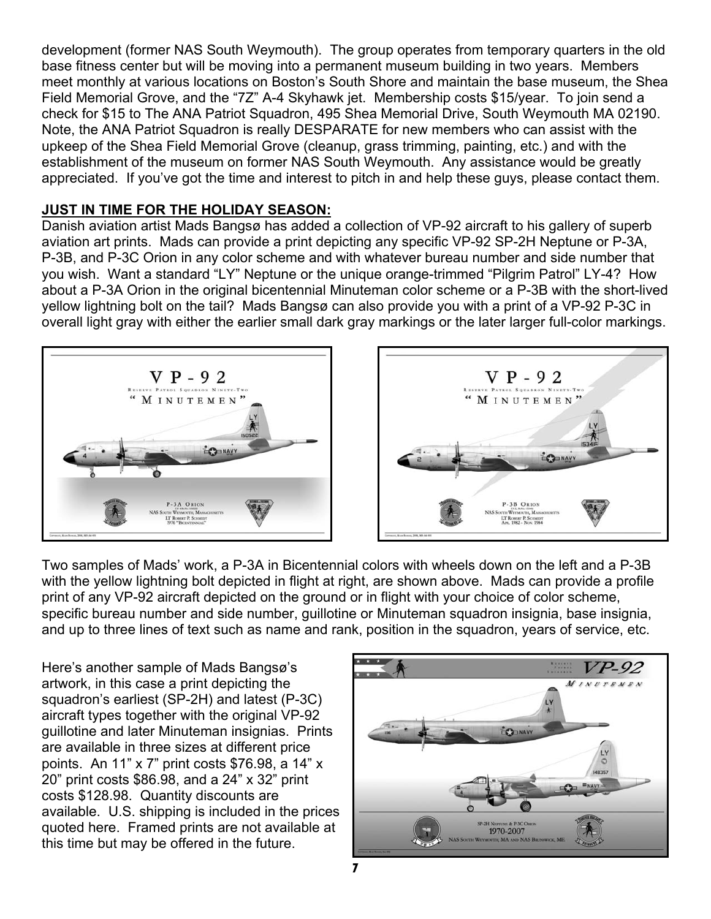development (former NAS South Weymouth). The group operates from temporary quarters in the old base fitness center but will be moving into a permanent museum building in two years. Members meet monthly at various locations on Boston's South Shore and maintain the base museum, the Shea Field Memorial Grove, and the "7Z" A-4 Skyhawk jet. Membership costs \$15/year. To join send a check for \$15 to The ANA Patriot Squadron, 495 Shea Memorial Drive, South Weymouth MA 02190. Note, the ANA Patriot Squadron is really DESPARATE for new members who can assist with the upkeep of the Shea Field Memorial Grove (cleanup, grass trimming, painting, etc.) and with the establishment of the museum on former NAS South Weymouth. Any assistance would be greatly appreciated. If you've got the time and interest to pitch in and help these guys, please contact them.

# **JUST IN TIME FOR THE HOLIDAY SEASON:**

Danish aviation artist Mads Bangsø has added a collection of VP-92 aircraft to his gallery of superb aviation art prints. Mads can provide a print depicting any specific VP-92 SP-2H Neptune or P-3A, P-3B, and P-3C Orion in any color scheme and with whatever bureau number and side number that you wish. Want a standard "LY" Neptune or the unique orange-trimmed "Pilgrim Patrol" LY-4? How about a P-3A Orion in the original bicentennial Minuteman color scheme or a P-3B with the short-lived yellow lightning bolt on the tail? Mads Bangsø can also provide you with a print of a VP-92 P-3C in overall light gray with either the earlier small dark gray markings or the later larger full-color markings.





Two samples of Mads' work, a P-3A in Bicentennial colors with wheels down on the left and a P-3B with the yellow lightning bolt depicted in flight at right, are shown above. Mads can provide a profile print of any VP-92 aircraft depicted on the ground or in flight with your choice of color scheme, specific bureau number and side number, guillotine or Minuteman squadron insignia, base insignia, and up to three lines of text such as name and rank, position in the squadron, years of service, etc.

Here's another sample of Mads Bangsø's artwork, in this case a print depicting the squadron's earliest (SP-2H) and latest (P-3C) aircraft types together with the original VP-92 guillotine and later Minuteman insignias. Prints are available in three sizes at different price points. An 11" x 7" print costs \$76.98, a 14" x 20" print costs \$86.98, and a 24" x 32" print costs \$128.98. Quantity discounts are available. U.S. shipping is included in the prices quoted here. Framed prints are not available at this time but may be offered in the future.